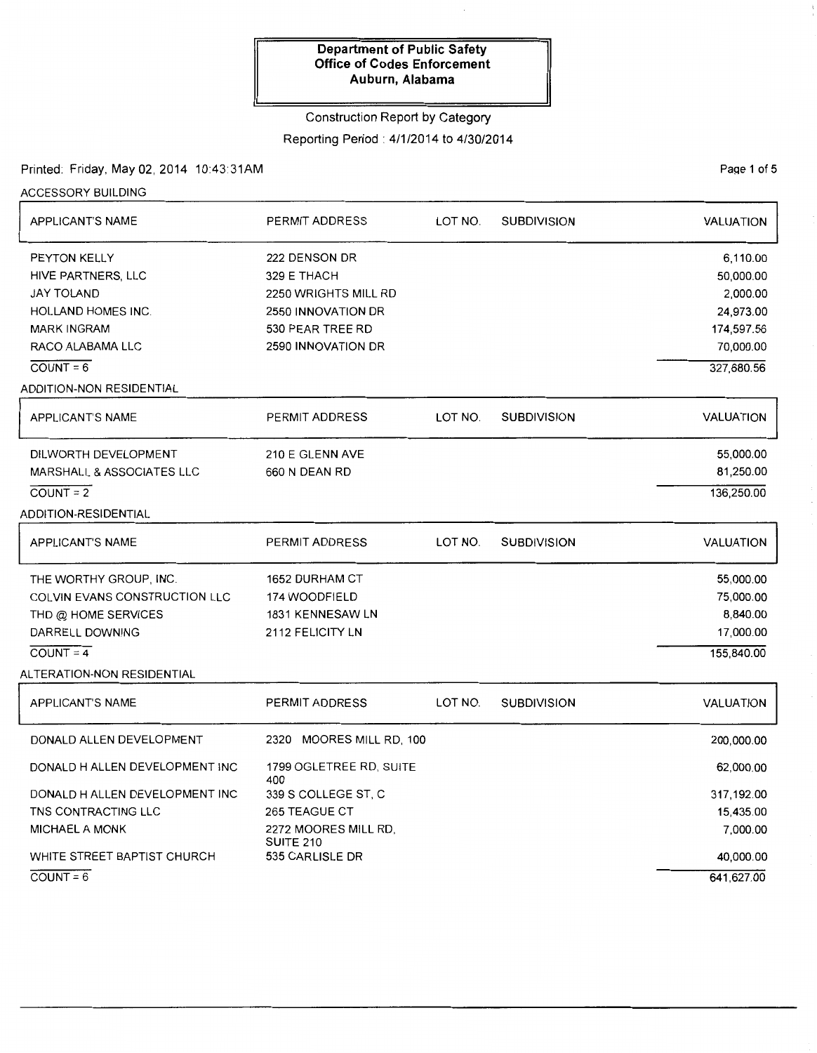#### Construction Report by Category

### Reporting Period: 4/1/2014 to 4/30/2014

## Printed: Friday, May 02, 2014 10:43:31AM

Page 1 of 5

| <b>ACCESSORY BUILDING</b>            |                                     |         |                    |                  |
|--------------------------------------|-------------------------------------|---------|--------------------|------------------|
| APPLICANT'S NAME                     | PERMIT ADDRESS                      | LOT NO. | <b>SUBDIVISION</b> | VALUATION        |
| PEYTON KELLY                         | 222 DENSON DR                       |         |                    | 6,110.00         |
| HIVE PARTNERS, LLC                   | 329 E THACH                         |         |                    | 50,000.00        |
| <b>JAY TOLAND</b>                    | 2250 WRIGHTS MILL RD                |         |                    | 2,000.00         |
| HOLLAND HOMES INC.                   | 2550 INNOVATION DR                  |         |                    | 24,973.00        |
| <b>MARK INGRAM</b>                   | 530 PEAR TREE RD                    |         |                    | 174,597.56       |
| RACO ALABAMA LLC                     | 2590 INNOVATION DR                  |         |                    | 70,000.00        |
| $COUNT = 6$                          |                                     |         |                    | 327,680.56       |
| ADDITION-NON RESIDENTIAL             |                                     |         |                    |                  |
| <b>APPLICANT'S NAME</b>              | PERMIT ADDRESS                      | LOT NO. | <b>SUBDIVISION</b> | VALUATION        |
| DILWORTH DEVELOPMENT                 | 210 E GLENN AVE                     |         |                    | 55,000.00        |
| <b>MARSHALL &amp; ASSOCIATES LLC</b> | 660 N DEAN RD                       |         |                    | 81,250.00        |
| $COUNT = 2$                          |                                     |         |                    | 136,250.00       |
| ADDITION-RESIDENTIAL                 |                                     |         |                    |                  |
| APPLICANT'S NAME                     | PERMIT ADDRESS                      | LOT NO. | <b>SUBDIVISION</b> | <b>VALUATION</b> |
| THE WORTHY GROUP, INC.               | <b>1652 DURHAM CT</b>               |         |                    | 55,000.00        |
| COLVIN EVANS CONSTRUCTION LLC        | 174 WOODFIELD                       |         |                    | 75,000.00        |
| THD @ HOME SERVICES                  | 1831 KENNESAW LN                    |         |                    | 8,840.00         |
| DARRELL DOWNING                      | 2112 FELICITY LN                    |         |                    | 17,000.00        |
| $COUNT = 4$                          |                                     |         |                    | 155,840.00       |
| ALTERATION-NON RESIDENTIAL           |                                     |         |                    |                  |
| APPLICANT'S NAME                     | PERMIT ADDRESS                      | LOT NO. | <b>SUBDIVISION</b> | VALUATION        |
| DONALD ALLEN DEVELOPMENT             | 2320 MOORES MILL RD, 100            |         |                    | 200,000.00       |
| DONALD H ALLEN DEVELOPMENT INC       | 1799 OGLETREE RD, SUITE<br>400      |         |                    | 62,000.00        |
| DONALD H ALLEN DEVELOPMENT INC       | 339 S COLLEGE ST, C                 |         |                    | 317,192.00       |
| TNS CONTRACTING LLC                  | 265 TEAGUE CT                       |         |                    | 15,435.00        |
| MICHAEL A MONK                       | 2272 MOORES MILL RD,                |         |                    | 7,000.00         |
| WHITE STREET BAPTIST CHURCH          | <b>SUITE 210</b><br>535 CARLISLE DR |         |                    | 40,000.00        |
| $COUNT = 6$                          |                                     |         |                    | 641,627.00       |

 $COUNT = 6$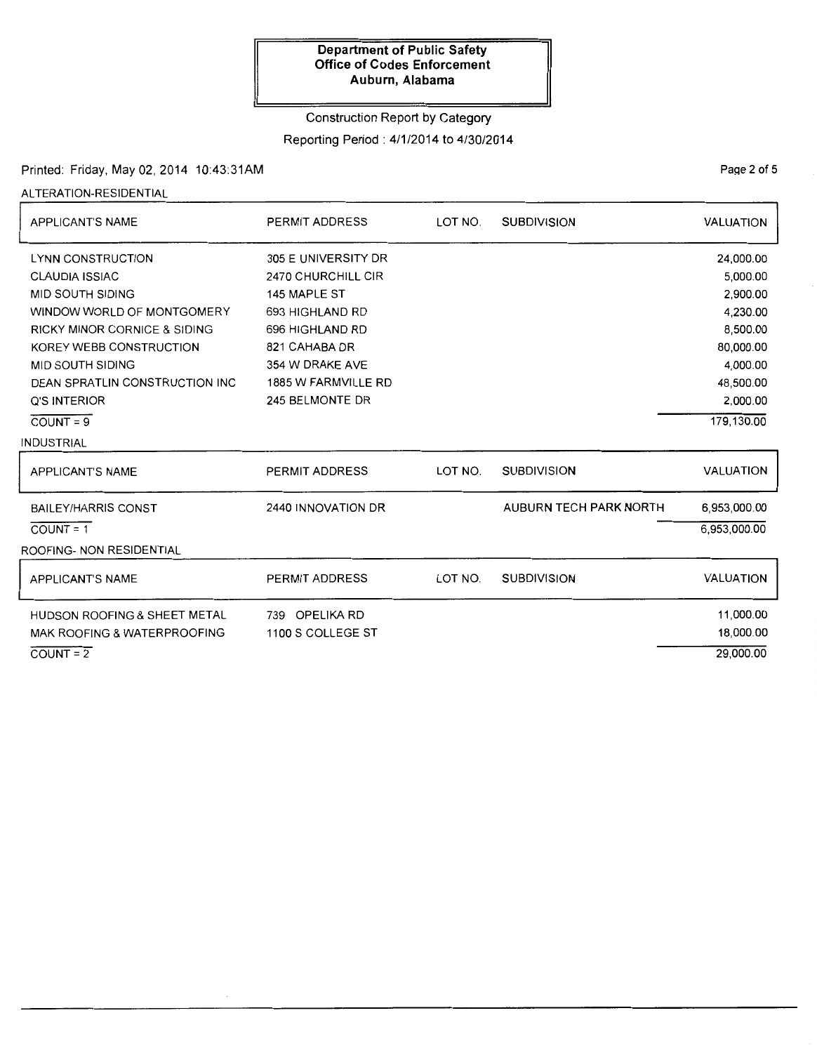#### Construction Report by Category

# Reporting Period: 4/1/2014 to 4/30/2014

### Printed: Friday, May 02, 2014 10:43:31AM

ALTERATION-RESIDENTIAL

| <b>APPLICANT'S NAME</b>                 | <b>PERMIT ADDRESS</b> | LOT NO. | <b>SUBDIVISION</b>            | <b>VALUATION</b> |
|-----------------------------------------|-----------------------|---------|-------------------------------|------------------|
| <b>LYNN CONSTRUCTION</b>                | 305 E UNIVERSITY DR   |         |                               | 24,000.00        |
| <b>CLAUDIA ISSIAC</b>                   | 2470 CHURCHILL CIR    |         |                               | 5,000.00         |
| MID SOUTH SIDING                        | 145 MAPLE ST          |         |                               | 2,900.00         |
| WINDOW WORLD OF MONTGOMERY              | 693 HIGHLAND RD       |         |                               | 4,230.00         |
| <b>RICKY MINOR CORNICE &amp; SIDING</b> | 696 HIGHLAND RD       |         |                               | 8,500.00         |
| KOREY WEBB CONSTRUCTION                 | 821 CAHABA DR         |         |                               | 80,000.00        |
| MID SOUTH SIDING                        | 354 W DRAKE AVE       |         |                               | 4,000.00         |
| DEAN SPRATLIN CONSTRUCTION INC          | 1885 W FARMVILLE RD   |         |                               | 48,500.00        |
| <b>Q'S INTERIOR</b>                     | 245 BELMONTE DR       |         |                               | 2,000.00         |
| $COUNT = 9$                             |                       |         |                               | 179,130.00       |
| INDUSTRIAL                              |                       |         |                               |                  |
| <b>APPLICANT'S NAME</b>                 | <b>PERMIT ADDRESS</b> | LOT NO. | <b>SUBDIVISION</b>            | <b>VALUATION</b> |
| <b>BAILEY/HARRIS CONST</b>              | 2440 INNOVATION DR    |         | <b>AUBURN TECH PARK NORTH</b> | 6,953,000.00     |
| $COUNT = 1$                             |                       |         |                               | 6,953,000.00     |
| ROOFING- NON RESIDENTIAL                |                       |         |                               |                  |
| <b>APPLICANT'S NAME</b>                 | PERMIT ADDRESS        | LOT NO. | <b>SUBDIVISION</b>            | <b>VALUATION</b> |
| HUDSON ROOFING & SHEET METAL            | 739 OPELIKA RD        |         |                               | 11,000.00        |
| MAK ROOFING & WATERPROOFING             | 1100 S COLLEGE ST     |         |                               | 18,000.00        |
| $COUNT = 2$                             |                       |         |                               | 29,000.00        |

PaQe 2 of 5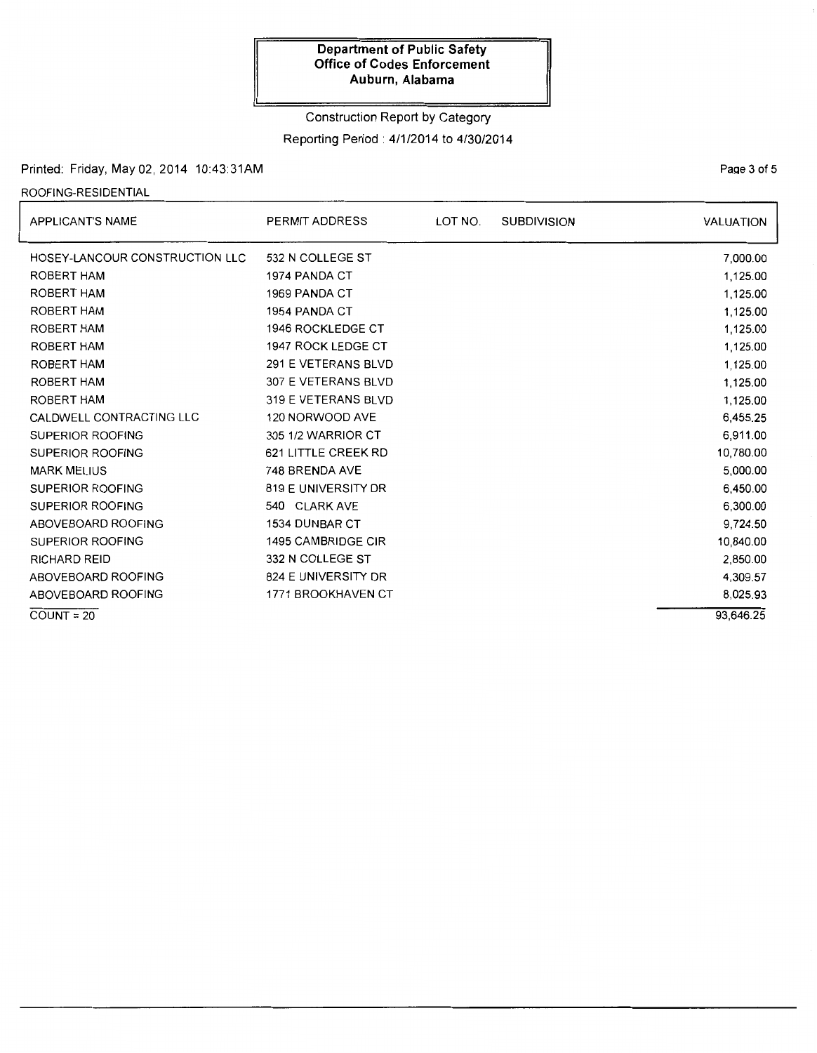Construction Report by Category

Reporting Period: 4/1/2014 to 4/30/2014

## Printed: Friday, May 02, 2014 10:43:31AM

# ROOFING-RESIDENTIAL

| <b>APPLICANT'S NAME</b>        | PERMIT ADDRESS           | LOT NO. | <b>SUBDIVISION</b> | VALUATION |
|--------------------------------|--------------------------|---------|--------------------|-----------|
| HOSEY-LANCOUR CONSTRUCTION LLC | 532 N COLLEGE ST         |         |                    | 7,000.00  |
| ROBERT HAM                     | 1974 PANDA CT            |         |                    | 1,125.00  |
| ROBERT HAM                     | 1969 PANDA CT            |         |                    | 1,125.00  |
| ROBERT HAM                     | 1954 PANDA CT            |         |                    | 1,125.00  |
| ROBERT HAM                     | <b>1946 ROCKLEDGE CT</b> |         |                    | 1,125.00  |
| ROBERT HAM                     | 1947 ROCK LEDGE CT       |         |                    | 1,125.00  |
| <b>ROBERT HAM</b>              | 291 E VETERANS BLVD      |         |                    | 1,125.00  |
| <b>ROBERT HAM</b>              | 307 E VETERANS BLVD      |         |                    | 1,125.00  |
| ROBERT HAM                     | 319 E VETERANS BLVD      |         |                    | 1,125.00  |
| CALDWELL CONTRACTING LLC       | 120 NORWOOD AVE          |         |                    | 6,455.25  |
| SUPERIOR ROOFING               | 305 1/2 WARRIOR CT       |         |                    | 6,911.00  |
| SUPERIOR ROOFING               | 621 LITTLE CREEK RD      |         |                    | 10,780.00 |
| <b>MARK MELIUS</b>             | 748 BRENDA AVE           |         |                    | 5.000.00  |
| <b>SUPERIOR ROOFING</b>        | 819 E UNIVERSITY DR      |         |                    | 6,450.00  |
| SUPERIOR ROOFING               | 540 CLARK AVE            |         |                    | 6,300.00  |
| ABOVEBOARD ROOFING             | 1534 DUNBAR CT           |         |                    | 9,724.50  |
| <b>SUPERIOR ROOFING</b>        | 1495 CAMBRIDGE CIR       |         |                    | 10,840.00 |
| RICHARD REID                   | 332 N COLLEGE ST         |         |                    | 2,850.00  |
| ABOVEBOARD ROOFING             | 824 E UNIVERSITY DR      |         |                    | 4,309.57  |
| ABOVEBOARD ROOFING             | 1771 BROOKHAVEN CT       |         |                    | 8,025.93  |
| $COUNT = 20$                   |                          |         |                    | 93,646.25 |

PaQe 3 of 5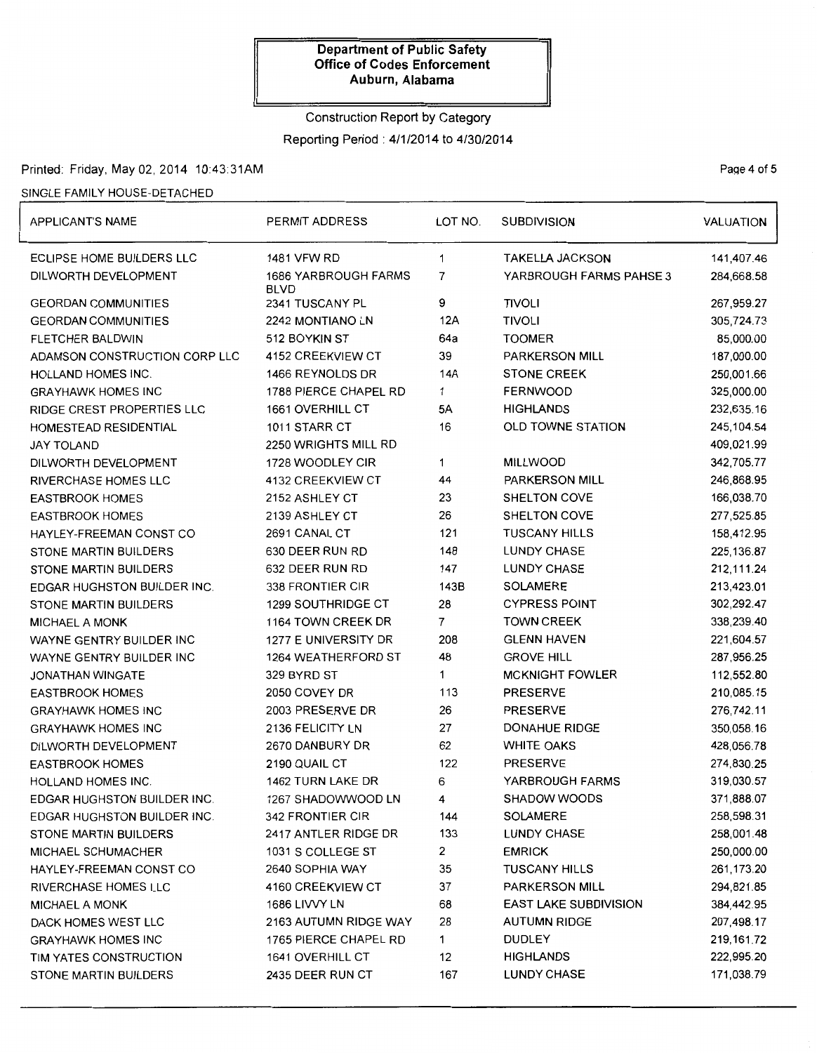# Construction Report by Category Reporting Period: 4/1/2014 to 4/30/2014

# Printed: Friday, May 02, 2014 10:43:31AM Page 4 of 5

#### SINGLE FAMILY HOUSE-DETACHED

| <b>APPLICANT'S NAME</b>            | PERMIT ADDRESS                             | LOT NO.                      | <b>SUBDIVISION</b>       | <b>VALUATION</b> |
|------------------------------------|--------------------------------------------|------------------------------|--------------------------|------------------|
| ECLIPSE HOME BUILDERS LLC          | <b>1481 VFW RD</b>                         | 1                            | <b>TAKELLA JACKSON</b>   | 141,407.46       |
| DILWORTH DEVELOPMENT               | <b>1686 YARBROUGH FARMS</b><br><b>BLVD</b> | 7<br>YARBROUGH FARMS PAHSE 3 |                          | 284,668.58       |
| <b>GEORDAN COMMUNITIES</b>         | 2341 TUSCANY PL                            | 9                            | <b>TIVOLI</b>            | 267,959.27       |
| <b>GEORDAN COMMUNITIES</b>         | 2242 MONTIANO LN                           | 12A                          | <b>TIVOLI</b>            | 305,724.73       |
| <b>FLETCHER BALDWIN</b>            | 512 BOYKIN ST                              | 64a                          | <b>TOOMER</b>            | 85,000.00        |
| ADAMSON CONSTRUCTION CORP LLC      | 4152 CREEKVIEW CT                          | 39                           | <b>PARKERSON MILL</b>    | 187,000.00       |
| HOLLAND HOMES INC.                 | 1466 REYNOLDS DR                           | 14A                          | <b>STONE CREEK</b>       | 250,001.66       |
| <b>GRAYHAWK HOMES INC</b>          | 1788 PIERCE CHAPEL RD                      | 1                            | <b>FERNWOOD</b>          | 325,000.00       |
| RIDGE CREST PROPERTIES LLC         | 1661 OVERHILL CT                           | 5A                           | <b>HIGHLANDS</b>         | 232,635.16       |
| HOMESTEAD RESIDENTIAL              | 1011 STARR CT                              | 16                           | <b>OLD TOWNE STATION</b> | 245,104.54       |
| JAY TOLAND                         | 2250 WRIGHTS MILL RD                       |                              |                          | 409,021.99       |
| DILWORTH DEVELOPMENT               | 1728 WOODLEY CIR                           | 1.                           | <b>MILLWOOD</b>          | 342,705.77       |
| <b>RIVERCHASE HOMES LLC</b>        | 4132 CREEKVIEW CT                          | 44                           | <b>PARKERSON MILL</b>    | 246,868.95       |
| <b>EASTBROOK HOMES</b>             | 2152 ASHLEY CT                             | 23                           | SHELTON COVE             | 166,038.70       |
| <b>EASTBROOK HOMES</b>             | 2139 ASHLEY CT                             | 26                           | SHELTON COVE             | 277,525.85       |
| HAYLEY-FREEMAN CONST CO            | 2691 CANAL CT                              | 121                          | <b>TUSCANY HILLS</b>     | 158,412.95       |
| STONE MARTIN BUILDERS              | 630 DEER RUN RD                            | 148                          | <b>LUNDY CHASE</b>       | 225, 136.87      |
| <b>STONE MARTIN BUILDERS</b>       | 632 DEER RUN RD                            | 147                          | <b>LUNDY CHASE</b>       | 212,111.24       |
| <b>EDGAR HUGHSTON BUILDER INC.</b> | 338 FRONTIER CIR                           | 143B                         | <b>SOLAMERE</b>          | 213,423.01       |
| STONE MARTIN BUILDERS              | 1299 SOUTHRIDGE CT                         | 28                           | <b>CYPRESS POINT</b>     | 302,292.47       |
| <b>MICHAEL A MONK</b>              | 1164 TOWN CREEK DR                         | $\overline{7}$               | <b>TOWN CREEK</b>        | 338,239.40       |
| WAYNE GENTRY BUILDER INC           | 1277 E UNIVERSITY DR                       | 208                          | <b>GLENN HAVEN</b>       | 221,604.57       |
| WAYNE GENTRY BUILDER INC           | 1264 WEATHERFORD ST                        | 48                           | <b>GROVE HILL</b>        | 287,956.25       |
| <b>JONATHAN WINGATE</b>            | 329 BYRD ST                                | 1                            | <b>MCKNIGHT FOWLER</b>   | 112,552.80       |
| <b>EASTBROOK HOMES</b>             | 2050 COVEY DR                              | 113<br><b>PRESERVE</b>       |                          | 210,085.15       |
| <b>GRAYHAWK HOMES INC</b>          | 2003 PRESERVE DR                           | 26<br><b>PRESERVE</b>        |                          | 276,742.11       |
| <b>GRAYHAWK HOMES INC</b>          | 2136 FELICITY LN                           | 27                           | DONAHUE RIDGE            | 350,058.16       |
| DILWORTH DEVELOPMENT               | 2670 DANBURY DR                            | 62                           | <b>WHITE OAKS</b>        | 428,056.78       |
| <b>EASTBROOK HOMES</b>             | 2190 QUAIL CT                              | 122                          | <b>PRESERVE</b>          | 274,830.25       |
| HOLLAND HOMES INC.                 | 1462 TURN LAKE DR                          | 6                            | YARBROUGH FARMS          | 319,030.57       |
| EDGAR HUGHSTON BUILDER INC.        | 1267 SHADOWWOOD LN                         | 4                            | <b>SHADOW WOODS</b>      | 371,888.07       |
| <b>EDGAR HUGHSTON BUILDER INC.</b> | 342 FRONTIER CIR                           | 144                          | <b>SOLAMERE</b>          | 258,598.31       |
| <b>STONE MARTIN BUILDERS</b>       | 2417 ANTLER RIDGE DR                       | 133                          | <b>LUNDY CHASE</b>       | 258,001.48       |
| MICHAEL SCHUMACHER                 | 1031 S COLLEGE ST                          | 2                            | <b>EMRICK</b>            | 250,000.00       |
| HAYLEY-FREEMAN CONST CO            | 2640 SOPHIA WAY                            | 35                           | <b>TUSCANY HILLS</b>     | 261,173.20       |
| <b>RIVERCHASE HOMES LLC</b>        | 4160 CREEKVIEW CT                          | 37                           | PARKERSON MILL           | 294,821.85       |
| <b>MICHAEL A MONK</b>              | 1686 LIVVY LN                              | 68                           | EAST LAKE SUBDIVISION    | 384,442.95       |
| DACK HOMES WEST LLC                | 2163 AUTUMN RIDGE WAY                      | 28                           | <b>AUTUMN RIDGE</b>      | 207,498.17       |
| <b>GRAYHAWK HOMES INC</b>          | 1765 PIERCE CHAPEL RD                      | $\mathbf{1}$                 | <b>DUDLEY</b>            | 219,161.72       |
| TIM YATES CONSTRUCTION             | 1641 OVERHILL CT                           | 12                           | <b>HIGHLANDS</b>         | 222,995.20       |
| STONE MARTIN BUILDERS              | 2435 DEER RUN CT                           | 167                          | <b>LUNDY CHASE</b>       | 171,038.79       |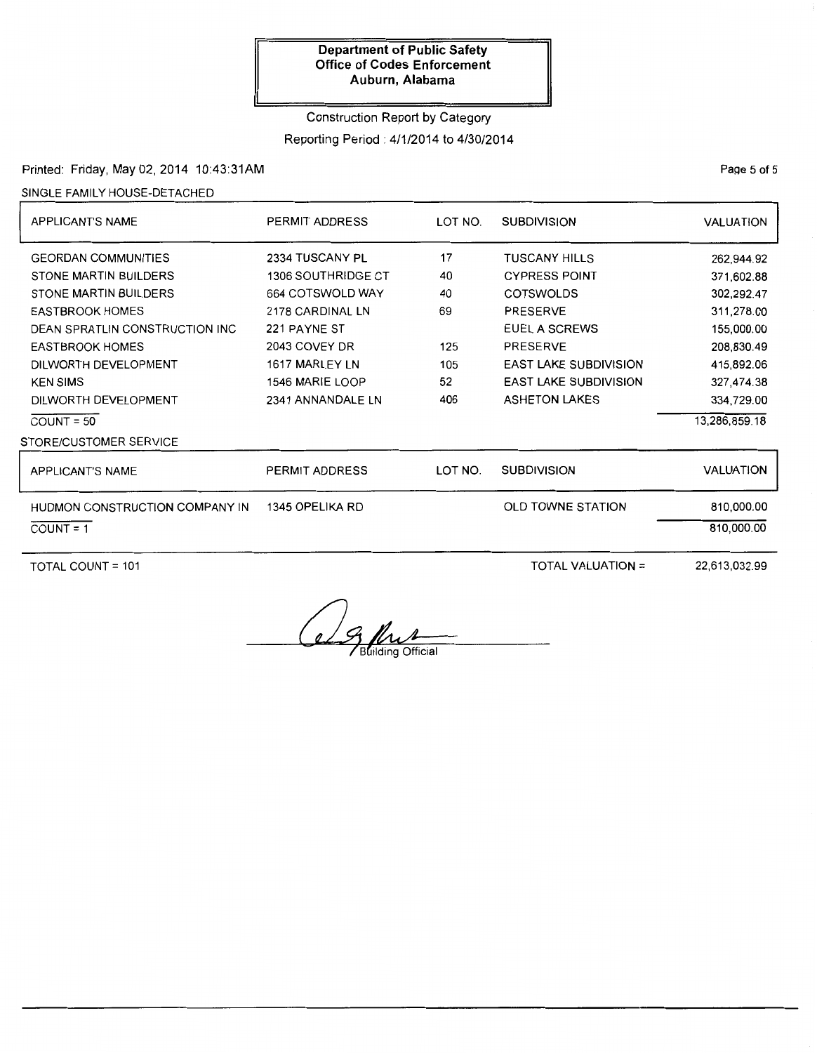# Construction Report by Category Reporting Period: 4/1/2014 to 4/30/2014

## Printed: Friday, May 02, 2014 10:43:31AM

#### SINGLE FAMILY HOUSE-DETACHED

| APPLICANT'S NAME                | LOT NO.<br>PERMIT ADDRESS |         | <b>SUBDIVISION</b>           | <b>VALUATION</b> |
|---------------------------------|---------------------------|---------|------------------------------|------------------|
| <b>GEORDAN COMMUNITIES</b>      | 2334 TUSCANY PL           | 17      | <b>TUSCANY HILLS</b>         | 262,944.92       |
| STONE MARTIN BUILDERS           | <b>1306 SOUTHRIDGE CT</b> | 40      | <b>CYPRESS POINT</b>         | 371,602.88       |
| STONE MARTIN BUILDERS           | 664 COTSWOLD WAY          | 40      | <b>COTSWOLDS</b>             | 302,292.47       |
| <b>EASTBROOK HOMES</b>          | 2178 CARDINAL LN          | 69      | <b>PRESERVE</b>              | 311,278.00       |
| DEAN SPRATLIN CONSTRUCTION INC. | 221 PAYNE ST              |         | EUEL A SCREWS                | 155,000.00       |
| <b>EASTBROOK HOMES</b>          | 2043 COVEY DR             | 125     | <b>PRESERVE</b>              | 208,830.49       |
| DILWORTH DEVELOPMENT            | 1617 MARLEY LN<br>105     |         | <b>EAST LAKE SUBDIVISION</b> | 415,892.06       |
| <b>KEN SIMS</b>                 | 52<br>1546 MARIE LOOP     |         | <b>EAST LAKE SUBDIVISION</b> | 327,474.38       |
| DILWORTH DEVELOPMENT            | 406<br>2341 ANNANDALE LN  |         | <b>ASHETON LAKES</b>         | 334,729.00       |
| $COUNT = 50$                    |                           |         |                              | 13,286,859.18    |
| STORE/CUSTOMER SERVICE          |                           |         |                              |                  |
| <b>APPLICANT'S NAME</b>         | PERMIT ADDRESS            | LOT NO. | <b>SUBDIVISION</b>           | <b>VALUATION</b> |
| HUDMON CONSTRUCTION COMPANY IN  | 1345 OPELIKA RD           |         | <b>OLD TOWNE STATION</b>     | 810,000.00       |
| $COUNT = 1$                     |                           |         |                              | 810,000.00       |
|                                 |                           |         |                              |                  |

TOTAL COUNT = 101 TOTAL VALUATION =

22,613,032.99

e 9 Pour

PaQe 5 of 5